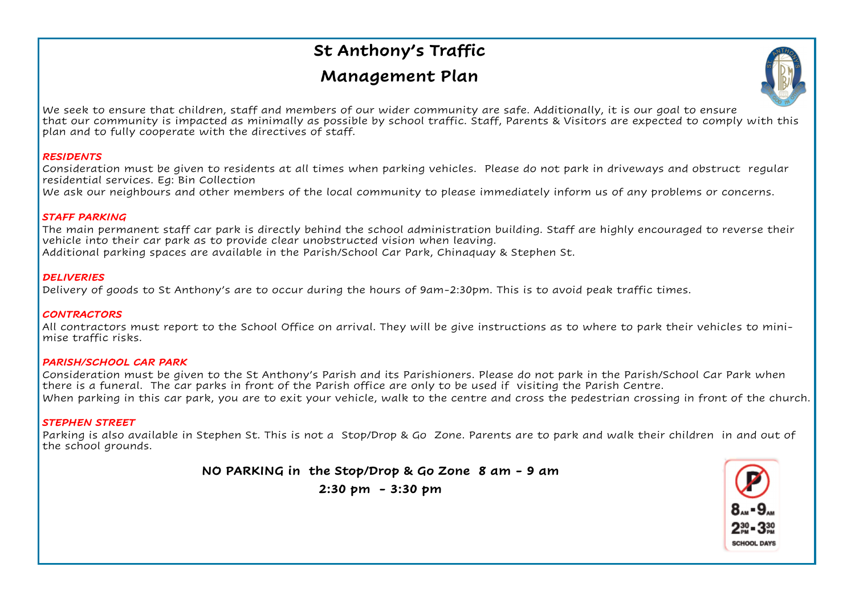# **St Anthony's Traffic**

## **Management Plan**



We seek to ensure that children, staff and members of our wider community are safe. Additionally, it is our goal to ensure that our community is impacted as minimally as possible by school traffic. Staff, Parents & Visitors are expected to comply with this plan and to fully cooperate with the directives of staff.

#### *RESIDENTS*

Consideration must be given to residents at all times when parking vehicles. Please do not park in driveways and obstruct regular residential services. Eg: Bin Collection

We ask our neighbours and other members of the local community to please immediately inform us of any problems or concerns.

#### *STAFF PARKING*

The main permanent staff car park is directly behind the school administration building. Staff are highly encouraged to reverse their vehicle into their car park as to provide clear unobstructed vision when leaving.

Additional parking spaces are available in the Parish/School Car Park, Chinaquay & Stephen St.

#### *DELIVERIES*

Delivery of goods to St Anthony's are to occur during the hours of 9am-2:30pm. This is to avoid peak traffic times.

#### *CONTRACTORS*

All contractors must report to the School Office on arrival. They will be give instructions as to where to park their vehicles to minimise traffic risks.

#### *PARISH/SCHOOL CAR PARK*

Consideration must be given to the St Anthony's Parish and its Parishioners. Please do not park in the Parish/School Car Park when there is a funeral. The car parks in front of the Parish office are only to be used if visiting the Parish Centre. When parking in this car park, you are to exit your vehicle, walk to the centre and cross the pedestrian crossing in front of the church.

#### *STEPHEN STREET*

Parking is also available in Stephen St. This is not a Stop/Drop & Go Zone. Parents are to park and walk their children in and out of the school grounds.

**NO PARKING in the Stop/Drop & Go Zone 8 am - 9 am** 

**2:30 pm - 3:30 pm**